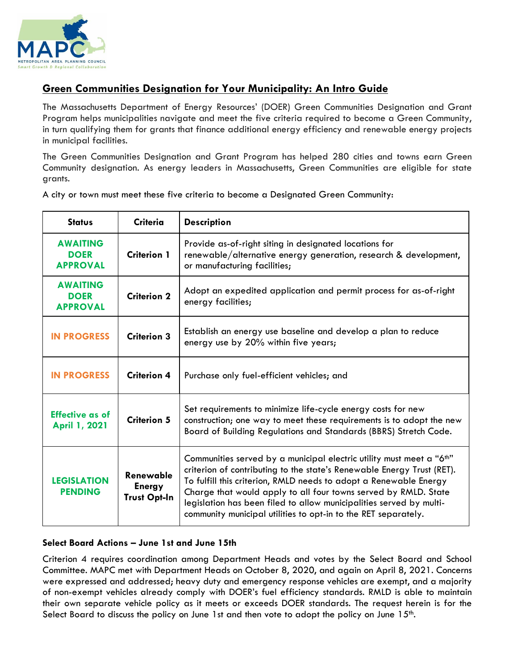

# **Green Communities Designation for Your Municipality: An Intro Guide**

The Massachusetts Department of Energy Resources' (DOER) Green Communities Designation and Grant Program helps municipalities navigate and meet the five criteria required to become a Green Community, in turn qualifying them for grants that finance additional energy efficiency and renewable energy projects in municipal facilities.

The Green Communities Designation and Grant Program has helped 280 cities and towns earn Green Community designation. As energy leaders in Massachusetts, Green Communities are eligible for state grants.

| <b>Status</b>                                     | <b>Criteria</b>                                   | <b>Description</b>                                                                                                                                                                                                                                                                                                                                                                                                                          |
|---------------------------------------------------|---------------------------------------------------|---------------------------------------------------------------------------------------------------------------------------------------------------------------------------------------------------------------------------------------------------------------------------------------------------------------------------------------------------------------------------------------------------------------------------------------------|
| <b>AWAITING</b><br><b>DOER</b><br><b>APPROVAL</b> | <b>Criterion 1</b>                                | Provide as-of-right siting in designated locations for<br>renewable/alternative energy generation, research & development,<br>or manufacturing facilities;                                                                                                                                                                                                                                                                                  |
| <b>AWAITING</b><br><b>DOER</b><br><b>APPROVAL</b> | <b>Criterion 2</b>                                | Adopt an expedited application and permit process for as-of-right<br>energy facilities;                                                                                                                                                                                                                                                                                                                                                     |
| <b>IN PROGRESS</b>                                | <b>Criterion 3</b>                                | Establish an energy use baseline and develop a plan to reduce<br>energy use by 20% within five years;                                                                                                                                                                                                                                                                                                                                       |
| <b>IN PROGRESS</b>                                | <b>Criterion 4</b>                                | Purchase only fuel-efficient vehicles; and                                                                                                                                                                                                                                                                                                                                                                                                  |
| <b>Effective as of</b><br>April 1, 2021           | Criterion 5                                       | Set requirements to minimize life-cycle energy costs for new<br>construction; one way to meet these requirements is to adopt the new<br>Board of Building Regulations and Standards (BBRS) Stretch Code.                                                                                                                                                                                                                                    |
| <b>LEGISLATION</b><br><b>PENDING</b>              | Renewable<br><b>Energy</b><br><b>Trust Opt-In</b> | Communities served by a municipal electric utility must meet a "6 <sup>th"</sup><br>criterion of contributing to the state's Renewable Energy Trust (RET).<br>To fulfill this criterion, RMLD needs to adopt a Renewable Energy<br>Charge that would apply to all four towns served by RMLD. State<br>legislation has been filed to allow municipalities served by multi-<br>community municipal utilities to opt-in to the RET separately. |

A city or town must meet these five criteria to become a Designated Green Community:

## **Select Board Actions – June 1st and June 15th**

Criterion 4 requires coordination among Department Heads and votes by the Select Board and School Committee. MAPC met with Department Heads on October 8, 2020, and again on April 8, 2021. Concerns were expressed and addressed; heavy duty and emergency response vehicles are exempt, and a majority of non-exempt vehicles already comply with DOER's fuel efficiency standards. RMLD is able to maintain their own separate vehicle policy as it meets or exceeds DOER standards. The request herein is for the Select Board to discuss the policy on June 1st and then vote to adopt the policy on June  $15<sup>th</sup>$ .